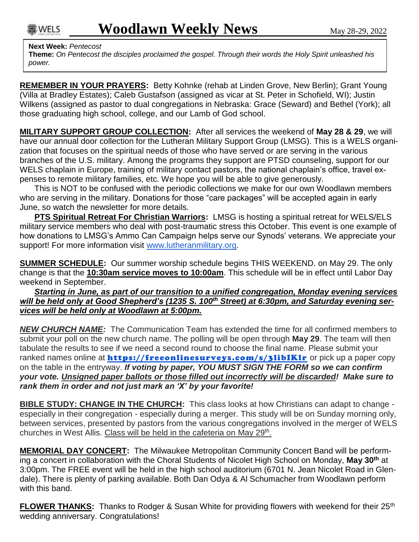## **Next Week:** *Pentecost*

**Theme:** *On Pentecost the disciples proclaimed the gospel. Through their words the Holy Spirit unleashed his power.*

**REMEMBER IN YOUR PRAYERS:** Betty Kohnke (rehab at Linden Grove, New Berlin); Grant Young (Villa at Bradley Estates); Caleb Gustafson (assigned as vicar at St. Peter in Schofield, WI); Justin Wilkens (assigned as pastor to dual congregations in Nebraska: Grace (Seward) and Bethel (York); all those graduating high school, college, and our Lamb of God school.

**MILITARY SUPPORT GROUP COLLECTION:** After all services the weekend of **May 28 & 29**, we will have our annual door collection for the Lutheran Military Support Group (LMSG). This is a WELS organization that focuses on the spiritual needs of those who have served or are serving in the various branches of the U.S. military. Among the programs they support are PTSD counseling, support for our WELS chaplain in Europe, training of military contact pastors, the national chaplain's office, travel expenses to remote military families, etc. We hope you will be able to give generously.

This is NOT to be confused with the periodic collections we make for our own Woodlawn members who are serving in the military. Donations for those "care packages" will be accepted again in early June, so watch the newsletter for more details.

**PTS Spiritual Retreat For Christian Warriors:** LMSG is hosting a spiritual retreat for WELS/ELS military service members who deal with post-traumatic stress this October. This event is one example of how donations to LMSG's Ammo Can Campaign helps serve our Synods' veterans. We appreciate your support! For more information visit [www.lutheranmilitary.org.](http://www.lutheranmilitary.org/)

**SUMMER SCHEDULE:** Our summer worship schedule begins THIS WEEKEND. on May 29. The only change is that the **10:30am service moves to 10:00am**. This schedule will be in effect until Labor Day weekend in September.

*Starting in June, as part of our transition to a unified congregation, Monday evening services will be held only at Good Shepherd's (1235 S. 100th Street) at 6:30pm, and Saturday evening services will be held only at Woodlawn at 5:00pm.*

*NEW CHURCH NAME:* The Communication Team has extended the time for all confirmed members to submit your poll on the new church name. The polling will be open through **May 29**. The team will then tabulate the results to see if we need a second round to choose the final name. Please submit your ranked names online at **https://freeonlinesurveys.com/s/3libIKlr** or pick up a paper copy on the table in the entryway. *If voting by paper, YOU MUST SIGN THE FORM so we can confirm your vote. Unsigned paper ballots or those filled out incorrectly will be discarded! Make sure to rank them in order and not just mark an 'X' by your favorite!*

**BIBLE STUDY: CHANGE IN THE CHURCH:** This class looks at how Christians can adapt to change especially in their congregation - especially during a merger. This study will be on Sunday morning only, between services, presented by pastors from the various congregations involved in the merger of WELS churches in West Allis. Class will be held in the cafeteria on May 29<sup>th</sup>.

**MEMORIAL DAY CONCERT:** The Milwaukee Metropolitan Community Concert Band will be performing a concert in collaboration with the Choral Students of Nicolet High School on Monday, **May 30th** at 3:00pm. The FREE event will be held in the high school auditorium (6701 N. Jean Nicolet Road in Glendale). There is plenty of parking available. Both Dan Odya & Al Schumacher from Woodlawn perform with this band.

**FLOWER THANKS:** Thanks to Rodger & Susan White for providing flowers with weekend for their 25<sup>th</sup> wedding anniversary. Congratulations!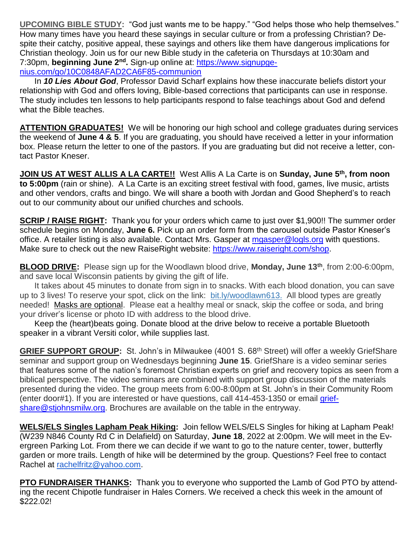**UPCOMING BIBLE STUDY:** "God just wants me to be happy." "God helps those who help themselves." How many times have you heard these sayings in secular culture or from a professing Christian? Despite their catchy, positive appeal, these sayings and others like them have dangerous implications for Christian theology. Join us for our new Bible study in the cafeteria on Thursdays at 10:30am and 7:30pm, **beginning June 2nd .** Sign-up online at: [https://www.signupge](https://www.signupgenius.com/go/10C0848AFAD2CA6F85-communion)[nius.com/go/10C0848AFAD2CA6F85-communion](https://www.signupgenius.com/go/10C0848AFAD2CA6F85-communion)

In *10 Lies About God*, Professor David Scharf explains how these inaccurate beliefs distort your relationship with God and offers loving, Bible-based corrections that participants can use in response. The study includes ten lessons to help participants respond to false teachings about God and defend what the Bible teaches.

**ATTENTION GRADUATES!** We will be honoring our high school and college graduates during services the weekend of **June 4 & 5**. If you are graduating, you should have received a letter in your information box. Please return the letter to one of the pastors. If you are graduating but did not receive a letter, contact Pastor Kneser.

**JOIN US AT WEST ALLIS A LA CARTE!!** West Allis A La Carte is on **Sunday, June 5th, from noon to 5:00pm** (rain or shine). A La Carte is an exciting street festival with food, games, live music, artists and other vendors, crafts and bingo. We will share a booth with Jordan and Good Shepherd's to reach out to our community about our unified churches and schools.

**SCRIP / RAISE RIGHT:** Thank you for your orders which came to just over \$1,900!! The summer order schedule begins on Monday, **June 6.** Pick up an order form from the carousel outside Pastor Kneser's office. A retailer listing is also available. Contact Mrs. Gasper at [mgasper@logls.org](mailto:mgasper@logls.org) with questions. Make sure to check out the new RaiseRight website: [https://www.raiseright.com/shop.](https://www.raiseright.com/shop)

**BLOOD DRIVE:** Please sign up for the Woodlawn blood drive, **Monday, June 13th**, from 2:00-6:00pm, and save local Wisconsin patients by giving the gift of life.

It takes about 45 minutes to donate from sign in to snacks. With each blood donation, you can save up to 3 lives! To reserve your spot, click on the link: [bit.ly/](http://bit.ly/)woodlawn613. All blood types are greatly needed! Masks are optional. Please eat a healthy meal or snack, skip the coffee or soda, and bring your driver's license or photo ID with address to the blood drive.

Keep the (heart)beats going. Donate blood at the drive below to receive a portable Bluetooth speaker in a vibrant Versiti color, while supplies last.

**GRIEF SUPPORT GROUP:** St. John's in Milwaukee (4001 S. 68<sup>th</sup> Street) will offer a weekly GriefShare seminar and support group on Wednesdays beginning **June 15**. GriefShare is a video seminar series that features some of the nation's foremost Christian experts on grief and recovery topics as seen from a biblical perspective. The video seminars are combined with support group discussion of the materials presented during the video. The group meets from 6:00-8:00pm at St. John's in their Community Room (enter door#1). If you are interested or have questions, call 414-453-1350 or email [grief](mailto:griefshare@stjohnsmilw.org)[share@stjohnsmilw.org.](mailto:griefshare@stjohnsmilw.org) Brochures are available on the table in the entryway.

**WELS/ELS Singles Lapham Peak Hiking:** Join fellow WELS/ELS Singles for hiking at Lapham Peak! (W239 N846 County Rd C in Delafield) on Saturday, **June 18**, 2022 at 2:00pm. We will meet in the Evergreen Parking Lot. From there we can decide if we want to go to the nature center, tower, butterfly garden or more trails. Length of hike will be determined by the group. Questions? Feel free to contact Rachel at [rachelfritz@yahoo.com.](mailto:rachelfritz@yahoo.com)

**PTO FUNDRAISER THANKS:** Thank you to everyone who supported the Lamb of God PTO by attending the recent Chipotle fundraiser in Hales Corners. We received a check this week in the amount of \$222.02!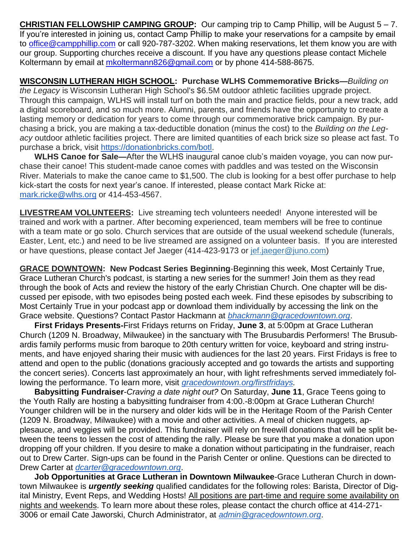**CHRISTIAN FELLOWSHIP CAMPING GROUP:** Our camping trip to Camp Phillip, will be August 5 – 7. If you're interested in joining us, contact Camp Phillip to make your reservations for a campsite by email to [office@campphillip.com](mailto:office@campphillip.com) or call 920-787-3202. When making reservations, let them know you are with our group. Supporting churches receive a discount. If you have any questions please contact Michele Koltermann by email at [mkoltermann826@gmail.com](mailto:mkoltermann826@gmail.com) or by phone 414-588-8675.

**WISCONSIN LUTHERAN HIGH SCHOOL: Purchase WLHS Commemorative Bricks—***Building on the Legacy* is Wisconsin Lutheran High School's \$6.5M outdoor athletic facilities upgrade project. Through this campaign, WLHS will install turf on both the main and practice fields, pour a new track, add a digital scoreboard, and so much more. Alumni, parents, and friends have the opportunity to create a lasting memory or dedication for years to come through our commemorative brick campaign. By purchasing a brick, you are making a tax-deductible donation (minus the cost) to the *Building on the Legacy* outdoor athletic facilities project. There are limited quantities of each brick size so please act fast. To purchase a brick, visit [https://donationbricks.com/botl.](https://donationbricks.com/botl)

**WLHS Canoe for Sale—**After the WLHS inaugural canoe club's maiden voyage, you can now purchase their canoe! This student-made canoe comes with paddles and was tested on the Wisconsin River. Materials to make the canoe came to \$1,500. The club is looking for a best offer purchase to help kick-start the costs for next year's canoe. If interested, please contact Mark Ricke at: [mark.ricke@wlhs.org](mailto:mark.ricke@wlhs.org) or 414-453-4567.

**LIVESTREAM VOLUNTEERS:** Live streaming tech volunteers needed! Anyone interested will be trained and work with a partner. After becoming experienced, team members will be free to continue with a team mate or go solo. Church services that are outside of the usual weekend schedule (funerals, Easter, Lent, etc.) and need to be live streamed are assigned on a volunteer basis. If you are interested or have questions, please contact Jef Jaeger (414-423-9173 or jef.jaeger@juno.com)

**GRACE DOWNTOWN: New Podcast Series Beginning**-Beginning this week, Most Certainly True, Grace Lutheran Church's podcast, is starting a new series for the summer! Join them as they read through the book of Acts and review the history of the early Christian Church. One chapter will be discussed per episode, with two episodes being posted each week. Find these episodes by subscribing to Most Certainly True in your podcast app or download them individually by accessing the link on the Grace website. Questions? Contact Pastor Hackmann at *[bhackmann@gracedowntown.org](mailto:bhackmann@gracedowntown.org)*.

**First Fridays Presents-**First Fridays returns on Friday, **June 3**, at 5:00pm at Grace Lutheran Church (1209 N. Broadway, Milwaukee) in the sanctuary with The Brusubardis Performers! The Brusubardis family performs music from baroque to 20th century written for voice, keyboard and string instruments, and have enjoyed sharing their music with audiences for the last 20 years. First Fridays is free to attend and open to the public (donations graciously accepted and go towards the artists and supporting the concert series). Concerts last approximately an hour, with light refreshments served immediately following the performance. To learn more, visit *[gracedowntown.org/firstfridays.](http://gracedowntown.org/firstfridays)*

**Babysitting Fundraiser**-*Craving a date night out?* On Saturday, **June 11**, Grace Teens going to the Youth Rally are hosting a babysitting fundraiser from 4:00.-8:00pm at Grace Lutheran Church! Younger children will be in the nursery and older kids will be in the Heritage Room of the Parish Center (1209 N. Broadway, Milwaukee) with a movie and other activities. A meal of chicken nuggets, applesauce, and veggies will be provided. This fundraiser will rely on freewill donations that will be split between the teens to lessen the cost of attending the rally. Please be sure that you make a donation upon dropping off your children. If you desire to make a donation without participating in the fundraiser, reach out to Drew Carter. Sign-ups can be found in the Parish Center or online. Questions can be directed to Drew Carter at *[dcarter@gracedowntown.org](mailto:dcarter@gracedowntown.org)*.

**Job Opportunities at Grace Lutheran in Downtown Milwaukee**-Grace Lutheran Church in downtown Milwaukee is *urgently seeking* qualified candidates for the following roles: Barista, Director of Digital Ministry, Event Reps, and Wedding Hosts! All positions are part-time and require some availability on nights and weekends. To learn more about these roles, please contact the church office at 414-271- 3006 or email Cate Jaworski, Church Administrator, at *[admin@gracedowntown.org](mailto:admin@gracedowntown.org)*.